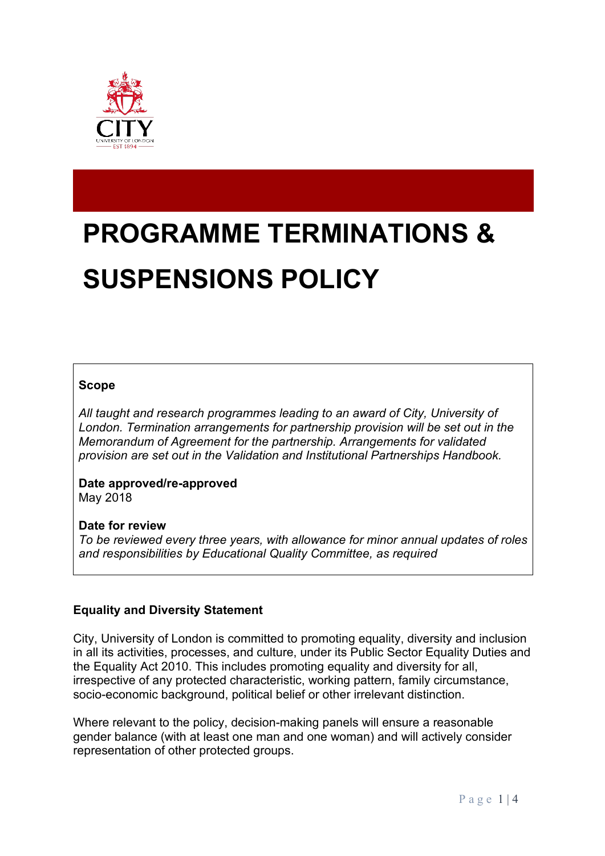

# **PROGRAMME TERMINATIONS & SUSPENSIONS POLICY**

# **Scope**

*All taught and research programmes leading to an award of City, University of London. Termination arrangements for partnership provision will be set out in the Memorandum of Agreement for the partnership. Arrangements for validated provision are set out in the Validation and Institutional Partnerships Handbook.*

**Date approved/re-approved** May 2018

#### **Date for review**

*To be reviewed every three years, with allowance for minor annual updates of roles and responsibilities by Educational Quality Committee, as required*

# **Equality and Diversity Statement**

City, University of London is committed to promoting equality, diversity and inclusion in all its activities, processes, and culture, under its Public Sector Equality Duties and the Equality Act 2010. This includes promoting equality and diversity for all, irrespective of any protected characteristic, working pattern, family circumstance, socio-economic background, political belief or other irrelevant distinction.

Where relevant to the policy, decision-making panels will ensure a reasonable gender balance (with at least one man and one woman) and will actively consider representation of other protected groups.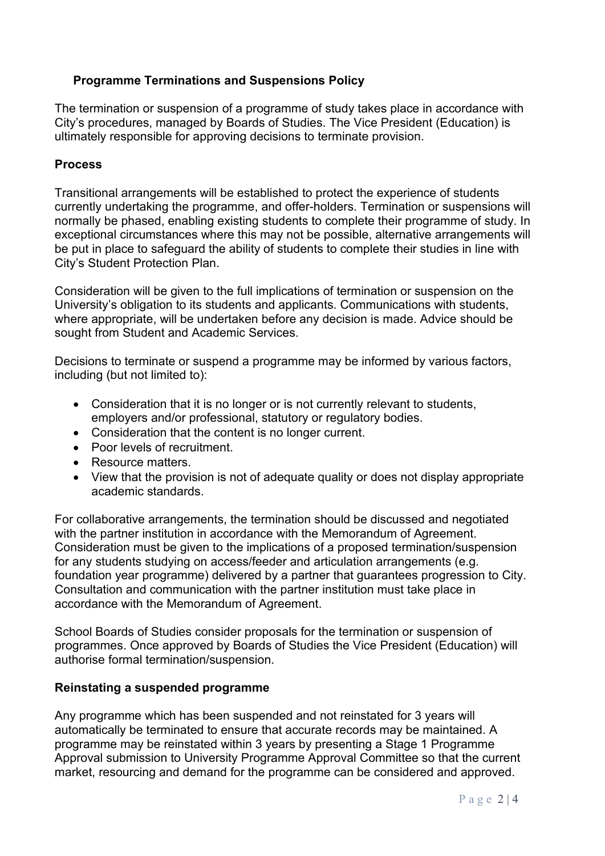# **Programme Terminations and Suspensions Policy**

The termination or suspension of a programme of study takes place in accordance with City's procedures, managed by Boards of Studies. The Vice President (Education) is ultimately responsible for approving decisions to terminate provision.

#### **Process**

Transitional arrangements will be established to protect the experience of students currently undertaking the programme, and offer-holders. Termination or suspensions will normally be phased, enabling existing students to complete their programme of study. In exceptional circumstances where this may not be possible, alternative arrangements will be put in place to safeguard the ability of students to complete their studies in line with City's Student Protection Plan.

Consideration will be given to the full implications of termination or suspension on the University's obligation to its students and applicants. Communications with students, where appropriate, will be undertaken before any decision is made. Advice should be sought from Student and Academic Services.

Decisions to terminate or suspend a programme may be informed by various factors, including (but not limited to):

- Consideration that it is no longer or is not currently relevant to students, employers and/or professional, statutory or regulatory bodies.
- Consideration that the content is no longer current.
- Poor levels of recruitment.
- Resource matters.
- View that the provision is not of adequate quality or does not display appropriate academic standards.

For collaborative arrangements, the termination should be discussed and negotiated with the partner institution in accordance with the Memorandum of Agreement. Consideration must be given to the implications of a proposed termination/suspension for any students studying on access/feeder and articulation arrangements (e.g. foundation year programme) delivered by a partner that guarantees progression to City. Consultation and communication with the partner institution must take place in accordance with the Memorandum of Agreement.

School Boards of Studies consider proposals for the termination or suspension of programmes. Once approved by Boards of Studies the Vice President (Education) will authorise formal termination/suspension.

#### **Reinstating a suspended programme**

Any programme which has been suspended and not reinstated for 3 years will automatically be terminated to ensure that accurate records may be maintained. A programme may be reinstated within 3 years by presenting a Stage 1 Programme Approval submission to University Programme Approval Committee so that the current market, resourcing and demand for the programme can be considered and approved.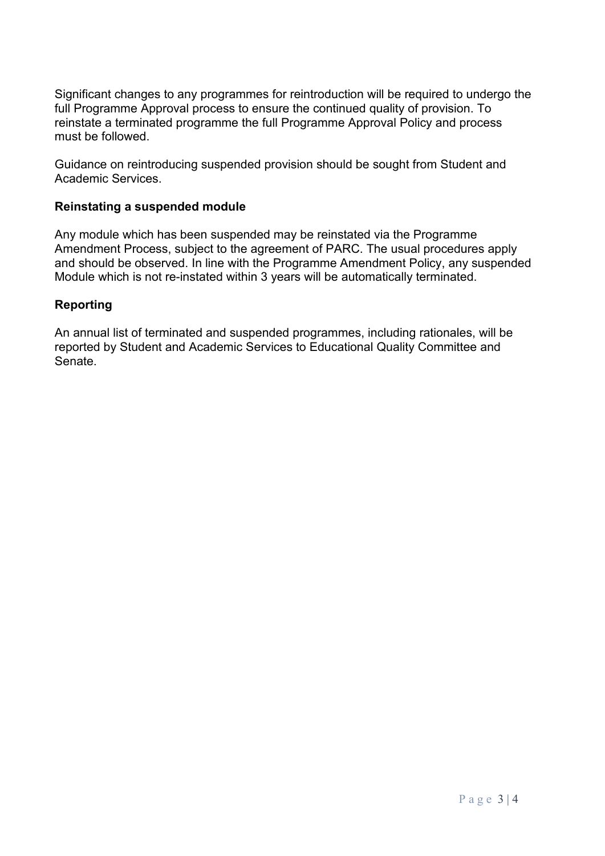Significant changes to any programmes for reintroduction will be required to undergo the full Programme Approval process to ensure the continued quality of provision. To reinstate a terminated programme the full Programme Approval Policy and process must be followed.

Guidance on reintroducing suspended provision should be sought from Student and Academic Services.

### **Reinstating a suspended module**

Any module which has been suspended may be reinstated via the Programme Amendment Process, subject to the agreement of PARC. The usual procedures apply and should be observed. In line with the Programme Amendment Policy, any suspended Module which is not re-instated within 3 years will be automatically terminated.

## **Reporting**

An annual list of terminated and suspended programmes, including rationales, will be reported by Student and Academic Services to Educational Quality Committee and Senate.